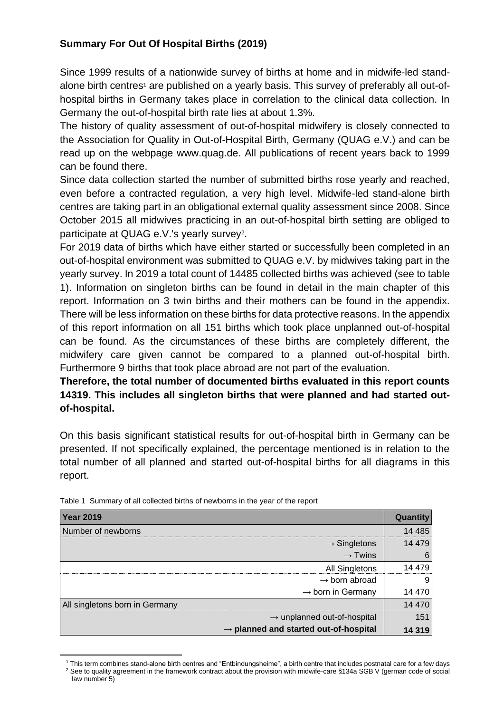## **Summary For Out Of Hospital Births (2019)**

Since 1999 results of a nationwide survey of births at home and in midwife-led standalone birth centres<sup>1</sup> are published on a yearly basis. This survey of preferably all out-ofhospital births in Germany takes place in correlation to the clinical data collection. In Germany the out-of-hospital birth rate lies at about 1.3%.

The history of quality assessment of out-of-hospital midwifery is closely connected to the Association for Quality in Out-of-Hospital Birth, Germany (QUAG e.V.) and can be read up on the webpage www.quag.de. All publications of recent years back to 1999 can be found there.

Since data collection started the number of submitted births rose yearly and reached, even before a contracted regulation, a very high level. Midwife-led stand-alone birth centres are taking part in an obligational external quality assessment since 2008. Since October 2015 all midwives practicing in an out-of-hospital birth setting are obliged to participate at QUAG e.V.'s yearly survey<sup>2</sup>.

For 2019 data of births which have either started or successfully been completed in an out-of-hospital environment was submitted to QUAG e.V. by midwives taking part in the yearly survey. In 2019 a total count of 14485 collected births was achieved (see to table 1). Information on singleton births can be found in detail in the main chapter of this report. Information on 3 twin births and their mothers can be found in the appendix. There will be less information on these births for data protective reasons. In the appendix of this report information on all 151 births which took place unplanned out-of-hospital can be found. As the circumstances of these births are completely different, the midwifery care given cannot be compared to a planned out-of-hospital birth. Furthermore 9 births that took place abroad are not part of the evaluation.

**Therefore, the total number of documented births evaluated in this report counts 14319. This includes all singleton births that were planned and had started outof-hospital.**

On this basis significant statistical results for out-of-hospital birth in Germany can be presented. If not specifically explained, the percentage mentioned is in relation to the total number of all planned and started out-of-hospital births for all diagrams in this report.

| <b>Year 2019</b>                                  | Quantity |
|---------------------------------------------------|----------|
| Number of newborns                                | 14 4 8 5 |
| $\rightarrow$ Singletons                          | 14 4 79  |
| $\rightarrow$ Twins                               | 6        |
| <b>All Singletons</b>                             | 14 479   |
| $\rightarrow$ born abroad                         |          |
| $\rightarrow$ born in Germany                     | 14 470   |
| All singletons born in Germany                    |          |
| $\rightarrow$ unplanned out-of-hospital           | 151      |
| $\rightarrow$ planned and started out-of-hospital | 14 3 19  |

|  | Table 1 Summary of all collected births of newborns in the year of the report |  |  |
|--|-------------------------------------------------------------------------------|--|--|
|  |                                                                               |  |  |

<sup>1</sup> This term combines stand-alone birth centres and "Entbindungsheime", a birth centre that includes postnatal care for a few days <sup>2</sup> See to quality agreement in the framework contract about the provision with midwife-care §134a SGB V (german code of social law number 5)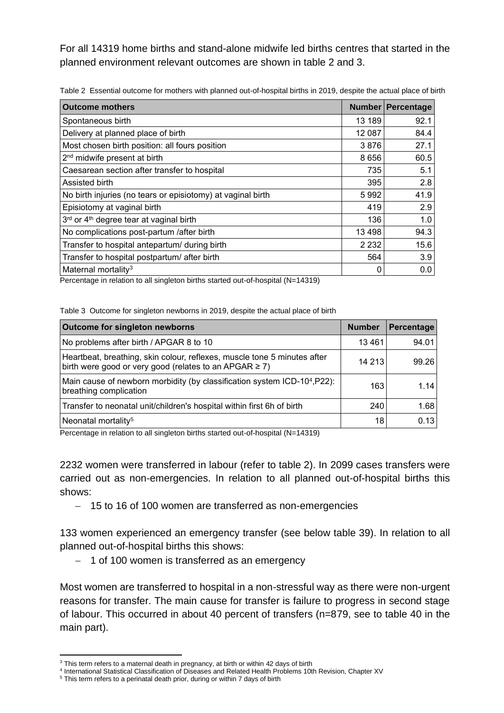For all 14319 home births and stand-alone midwife led births centres that started in the planned environment relevant outcomes are shown in table 2 and 3.

| <b>Outcome mothers</b>                                      |         | Number Percentage |
|-------------------------------------------------------------|---------|-------------------|
| Spontaneous birth                                           | 13 189  | 92.1              |
| Delivery at planned place of birth                          | 12 087  | 84.4              |
| Most chosen birth position: all fours position              | 3876    | 27.1              |
| 2 <sup>nd</sup> midwife present at birth                    | 8 6 5 6 | 60.5              |
| Caesarean section after transfer to hospital                | 735     | 5.1               |
| Assisted birth                                              | 395     | 2.8               |
| No birth injuries (no tears or episiotomy) at vaginal birth | 5992    | 41.9              |
| Episiotomy at vaginal birth                                 | 419     | 2.9               |
| 3rd or 4 <sup>th</sup> degree tear at vaginal birth         | 136     | 1.0               |
| No complications post-partum /after birth                   | 13 4 98 | 94.3              |
| Transfer to hospital antepartum/ during birth               | 2 2 3 2 | 15.6              |
| Transfer to hospital postpartum/ after birth                | 564     | 3.9               |
| Maternal mortality <sup>3</sup>                             |         | 0.0               |

Table 2 Essential outcome for mothers with planned out-of-hospital births in 2019, despite the actual place of birth

Percentage in relation to all singleton births started out-of-hospital (N=14319)

Table 3 Outcome for singleton newborns in 2019, despite the actual place of birth

| <b>Outcome for singleton newborns</b>                                                                                                   | <b>Number</b> | Percentage |
|-----------------------------------------------------------------------------------------------------------------------------------------|---------------|------------|
| No problems after birth / APGAR 8 to 10                                                                                                 | 13461         | 94.01      |
| Heartbeat, breathing, skin colour, reflexes, muscle tone 5 minutes after<br>birth were good or very good (relates to an APGAR $\geq$ 7) | 14 213        | 99.26      |
| Main cause of newborn morbidity (by classification system ICD-104, P22):<br>breathing complication                                      | 163           | 1.14       |
| Transfer to neonatal unit/children's hospital within first 6h of birth                                                                  | 240           | 1.68       |
| Neonatal mortality <sup>5</sup>                                                                                                         | 18            | 0.13       |

Percentage in relation to all singleton births started out-of-hospital (N=14319)

2232 women were transferred in labour (refer to table 2). In 2099 cases transfers were carried out as non-emergencies. In relation to all planned out-of-hospital births this shows:

− 15 to 16 of 100 women are transferred as non-emergencies

133 women experienced an emergency transfer (see below table 39). In relation to all planned out-of-hospital births this shows:

− 1 of 100 women is transferred as an emergency

Most women are transferred to hospital in a non-stressful way as there were non-urgent reasons for transfer. The main cause for transfer is failure to progress in second stage of labour. This occurred in about 40 percent of transfers (n=879, see to table 40 in the main part).

 $3$  This term refers to a maternal death in pregnancy, at birth or within 42 days of birth

<sup>4</sup> International Statistical Classification of Diseases and Related Health Problems 10th Revision, Chapter XV

<sup>&</sup>lt;sup>5</sup> This term refers to a perinatal death prior, during or within 7 days of birth